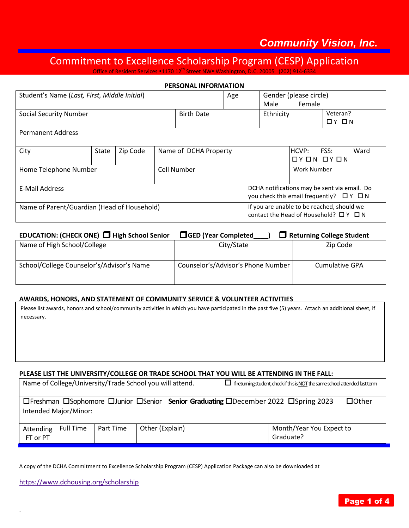## *Community Vision, Inc.*

# Commitment to Excellence Scholarship Program (CESP) Application

Office of Resident Services \*1170 12<sup>th</sup> Street NW \* Washington, D.C. 20005 (202) 914-6

|                                              |       |          |                                                                      | <b>PERSONAL INFORMATION</b>                                                                  |                                                                                                  |                                   |                                  |  |  |
|----------------------------------------------|-------|----------|----------------------------------------------------------------------|----------------------------------------------------------------------------------------------|--------------------------------------------------------------------------------------------------|-----------------------------------|----------------------------------|--|--|
| Student's Name (Last, First, Middle Initial) |       |          |                                                                      |                                                                                              | Age                                                                                              | Male                              | Gender (please circle)<br>Female |  |  |
| Social Security Number                       |       |          |                                                                      | <b>Birth Date</b><br>Ethnicity                                                               |                                                                                                  | Veteran?<br>$\Box$ $Y$ $\Box$ $N$ |                                  |  |  |
| <b>Permanent Address</b>                     |       |          |                                                                      |                                                                                              |                                                                                                  |                                   |                                  |  |  |
| City                                         | State | Zip Code | <b>FSS:</b><br>HCVP:<br>Name of DCHA Property<br>$QY$ $QN$ $QY$ $QN$ |                                                                                              |                                                                                                  |                                   | Ward                             |  |  |
| Home Telephone Number                        |       |          | Cell Number                                                          |                                                                                              | Work Number                                                                                      |                                   |                                  |  |  |
| E-Mail Address                               |       |          |                                                                      |                                                                                              | DCHA notifications may be sent via email. Do<br>you check this email frequently? $\Box Y \Box N$ |                                   |                                  |  |  |
| Name of Parent/Guardian (Head of Household)  |       |          |                                                                      | If you are unable to be reached, should we<br>contact the Head of Household? $\Box Y \Box N$ |                                                                                                  |                                   |                                  |  |  |

| EDUCATION: (CHECK ONE) □ High School Senior | <b>SHOP</b> (Year Completed        | $\Box$ Returning College Student |
|---------------------------------------------|------------------------------------|----------------------------------|
| Name of High School/College                 | City/State                         | Zip Code                         |
| School/College Counselor's/Advisor's Name   | Counselor's/Advisor's Phone Number | Cumulative GPA                   |

#### **AWARDS, HONORS, AND STATEMENT OF COMMUNITY SERVICE & VOLUNTEER ACTIVITIES**

necessary. Please list awards, honors and school/community activities in which you have participated in the past five (5) years. Attach an additional sheet, if

#### **PLEASE LIST THE UNIVERSITY/COLLEGE OR TRADE SCHOOL THAT YOU WILL BE ATTENDING IN THE FALL:**

| Name of College/University/Trade School you will attend.<br>$\Box$ If returning student, check if this is <u>NOT</u> the same school attended last term |                  |           |                 |                                       |  |  |
|---------------------------------------------------------------------------------------------------------------------------------------------------------|------------------|-----------|-----------------|---------------------------------------|--|--|
| □ Ereshman □ Sophomore □ Junior □ Senior Senior Graduating □ December 2022 □ Spring 2023<br>$\Box$ Other                                                |                  |           |                 |                                       |  |  |
| Intended Major/Minor:                                                                                                                                   |                  |           |                 |                                       |  |  |
| Attending<br>FT or PT                                                                                                                                   | <b>Full Time</b> | Part Time | Other (Explain) | Month/Year You Expect to<br>Graduate? |  |  |

A copy of the DCHA Commitment to Excellence Scholarship Program (CESP) Application Package can also be downloaded at

<https://www.dchousing.org/scholarship>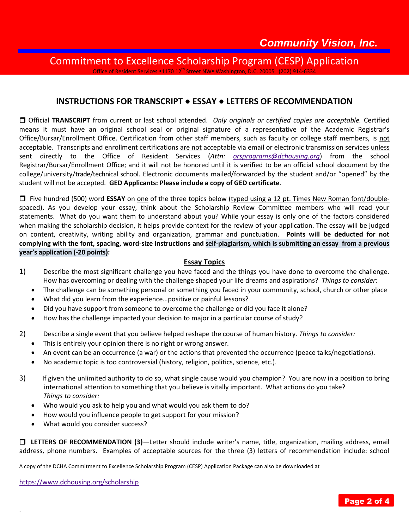### Commitment to Excellence Scholarship Program (CESP) Application Office of Resident Services .1170 12<sup>th</sup> Street NW Washington, D.C. 20005 (202) 914-

### **INSTRUCTIONS FOR TRANSCRIPT ● ESSAY ● LETTERS OF RECOMMENDATION**

 Official **TRANSCRIPT** from current or last school attended. *Only originals or certified copies are acceptable.* Certified means it must have an original school seal or original signature of a representative of the Academic Registrar's Office/Bursar/Enrollment Office. Certification from other staff members, such as faculty or college staff members, is not acceptable. Transcripts and enrollment certifications are not acceptable via email or electronic transmission services unless sent directly to the Office of Resident Services (*Attn: [orsprograms@dchousing.org](mailto:orsprograms@dchousing.org)*) from the school Registrar/Bursar/Enrollment Office; and it will not be honored until it is verified to be an official school document by the college/university/trade/technical school. Electronic documents mailed/forwarded by the student and/or "opened" by the student will not be accepted. **GED Applicants: Please include a copy of GED certificate**.

Five hundred (500) word **ESSAY** on one of the three topics below (typed using a 12 pt. Times New Roman font/doublespaced). As you develop your essay, think about the Scholarship Review Committee members who will read your statements. What do you want them to understand about you? While your essay is only one of the factors considered when making the scholarship decision, it helps provide context for the review of your application. The essay will be judged on content, creativity, writing ability and organization, grammar and punctuation. **Points will be deducted for not complying with the font, spacing, word-size instructions and self-plagiarism, which is submitting an essay from a previous year's application (-20 points):**

#### **Essay Topics**

- 1) Describe the most significant challenge you have faced and the things you have done to overcome the challenge. How has overcoming or dealing with the challenge shaped your life dreams and aspirations? *Things to consider*:
	- The challenge can be something personal or something you faced in your community, school, church or other place
	- What did you learn from the experience…positive or painful lessons?
	- Did you have support from someone to overcome the challenge or did you face it alone?
	- How has the challenge impacted your decision to major in a particular course of study?
- 2) Describe a single event that you believe helped reshape the course of human history. *Things to consider:*
	- This is entirely your opinion there is no right or wrong answer.
	- An event can be an occurrence (a war) or the actions that prevented the occurrence (peace talks/negotiations).
	- No academic topic is too controversial (history, religion, politics, science, etc.).
- 3) If given the unlimited authority to do so, what single cause would you champion? You are now in a position to bring international attention to something that you believe is vitally important. What actions do you take? *Things to consider:*
	- Who would you ask to help you and what would you ask them to do?
	- How would you influence people to get support for your mission?
	- What would you consider success?

 **LETTERS OF RECOMMENDATION (3)**—Letter should include writer's name, title, organization, mailing address, email address, phone numbers. Examples of acceptable sources for the three (3) letters of recommendation include: school

A copy of the DCHA Commitment to Excellence Scholarship Program (CESP) Application Package can also be downloaded at

<https://www.dchousing.org/scholarship>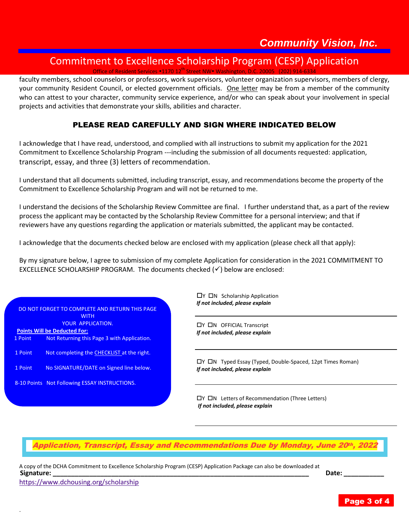# Commitment to Excellence Scholarship Program (CESP) Application

Office of Resident Services .1170 12<sup>th</sup> Street NW Washington, D.C. 20005 (202) 914-

faculty members, school counselors or professors, work supervisors, volunteer organization supervisors, members of clergy, your community Resident Council, or elected government officials. One letter may be from a member of the community who can attest to your character, community service experience, and/or who can speak about your involvement in special projects and activities that demonstrate your skills, abilities and character.

## PLEASE READ CAREFULLY AND SIGN WHERE INDICATED BELOW

I acknowledge that I have read, understood, and complied with all instructions to submit my application for the 2021 Commitment to Excellence Scholarship Program ---including the submission of all documents requested: application, transcript, essay, and three (3) letters of recommendation.

I understand that all documents submitted, including transcript, essay, and recommendations become the property of the Commitment to Excellence Scholarship Program and will not be returned to me.

I understand the decisions of the Scholarship Review Committee are final. I further understand that, as a part of the review process the applicant may be contacted by the Scholarship Review Committee for a personal interview; and that if reviewers have any questions regarding the application or materials submitted, the applicant may be contacted.

I acknowledge that the documents checked below are enclosed with my application (please check all that apply):

By my signature below, I agree to submission of my complete Application for consideration in the 2021 COMMITMENT TO EXCELLENCE SCHOLARSHIP PROGRAM. The documents checked  $(\checkmark)$  below are enclosed:

|                                     | DO NOT FORGET TO COMPLETE AND RETURN THIS PAGE |  |  |  |
|-------------------------------------|------------------------------------------------|--|--|--|
|                                     | <b>WITH</b>                                    |  |  |  |
|                                     | YOUR APPLICATION.                              |  |  |  |
| <b>Points Will be Deducted For:</b> |                                                |  |  |  |
| 1 Point                             | Not Returning this Page 3 with Application.    |  |  |  |
| 1 Point                             | Not completing the CHECKLIST at the right.     |  |  |  |
| 1 Point                             | No SIGNATURE/DATE on Signed line below.        |  |  |  |
|                                     | 8-10 Points Not Following ESSAY INSTRUCTIONS.  |  |  |  |

 $\Box$ Y  $\Box$ N Scholarship Application *If not included, please explain*

**CIY CIN OFFICIAL Transcript** *If not included, please explain*

Y N Typed Essay (Typed, Double-Spaced, 12pt Times Roman) *If not included, please explain*

 $\Box Y$   $\Box N$  Letters of Recommendation (Three Letters) *If not included, please explain*

Application, Transcript, Essay and Recommendations Due by Monday, June 20th, 2022

A copy of the DCHA Commitment to Excellence Scholarship Program (CESP) Application Package can also be downloaded at **Signature: \_\_\_\_\_\_\_\_\_\_\_\_\_\_\_\_\_\_\_\_\_\_\_\_\_\_\_\_\_\_\_\_\_\_\_\_\_\_\_\_\_\_\_\_\_\_\_\_\_\_\_\_\_\_\_\_\_\_\_\_\_\_\_\_\_\_\_\_\_\_ Date: \_\_\_\_\_\_\_\_\_\_\_**

<https://www.dchousing.org/scholarship>